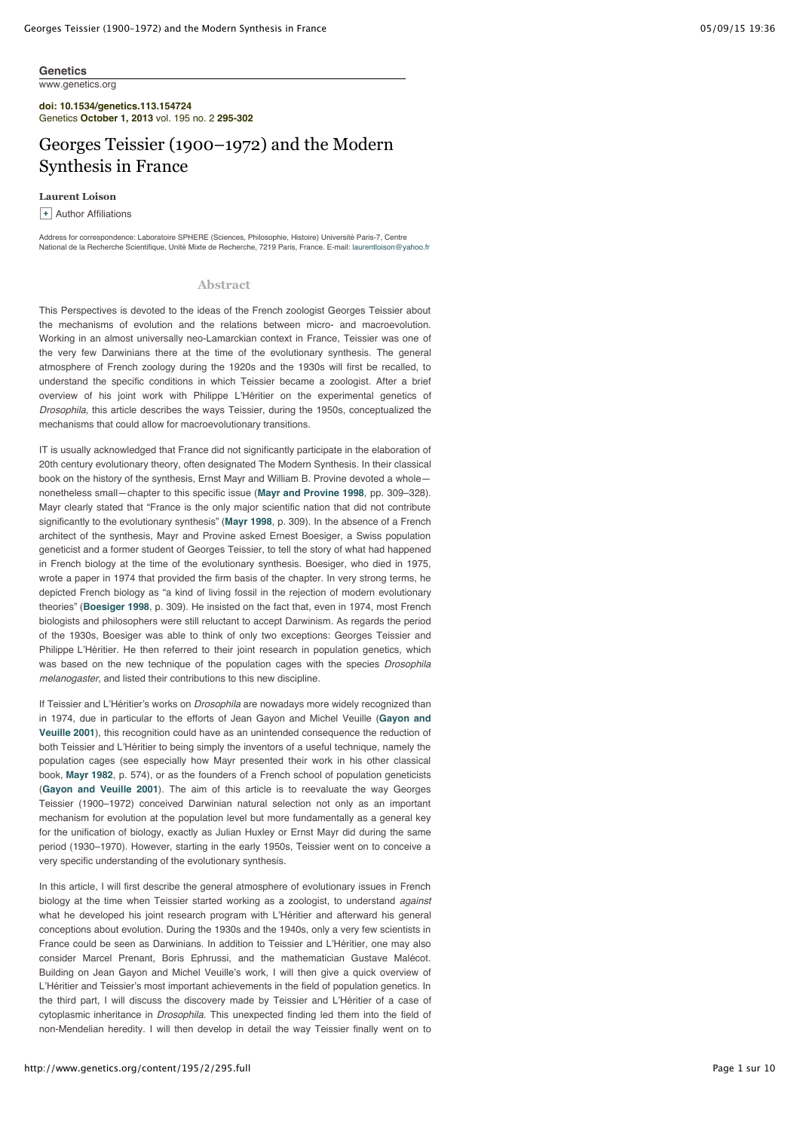**Genetics** www.genetics.org

**doi: 10.1534/genetics.113.154724** Genetics **October 1, 2013** vol. 195 no. 2 **295-302**

# Georges Teissier (1900–1972) and the Modern Synthesis in France

### **[Laurent Loison](http://www.genetics.org/search?author1=Laurent+Loison&sortspec=date&submit=Submit)**

**[+](http://www.genetics.org/content/195/2/295.full#)** Author Affiliations

Address for correspondence: Laboratoire SPHERE (Sciences, Philosophie, Histoire) Université Paris-7, Centre National de la Recherche Scientifique, Unité Mixte de Recherche, 7219 Paris, France. E-mail: [laurentloison@yahoo.fr](mailto:laurentloison@yahoo.fr)

#### **Abstract**

This Perspectives is devoted to the ideas of the French zoologist Georges Teissier about the mechanisms of evolution and the relations between micro- and macroevolution. Working in an almost universally neo-Lamarckian context in France, Teissier was one of the very few Darwinians there at the time of the evolutionary synthesis. The general atmosphere of French zoology during the 1920s and the 1930s will first be recalled, to understand the specific conditions in which Teissier became a zoologist. After a brief overview of his joint work with Philippe L'Héritier on the experimental genetics of *Drosophila*, this article describes the ways Teissier, during the 1950s, conceptualized the mechanisms that could allow for macroevolutionary transitions.

IT is usually acknowledged that France did not significantly participate in the elaboration of 20th century evolutionary theory, often designated The Modern Synthesis. In their classical book on the history of the synthesis, Ernst Mayr and William B. Provine devoted a whole nonetheless small—chapter to this specific issue (**[Mayr and Provine 1998](http://www.genetics.org/content/195/2/295.full#ref-23)**, pp. 309–328). Mayr clearly stated that "France is the only major scientific nation that did not contribute significantly to the evolutionary synthesis" (**[Mayr 1998](http://www.genetics.org/content/195/2/295.full#ref-22)**, p. 309). In the absence of a French architect of the synthesis, Mayr and Provine asked Ernest Boesiger, a Swiss population geneticist and a former student of Georges Teissier, to tell the story of what had happened in French biology at the time of the evolutionary synthesis. Boesiger, who died in 1975, wrote a paper in 1974 that provided the firm basis of the chapter. In very strong terms, he depicted French biology as "a kind of living fossil in the rejection of modern evolutionary theories" (**[Boesiger 1998](http://www.genetics.org/content/195/2/295.full#ref-1)**, p. 309). He insisted on the fact that, even in 1974, most French biologists and philosophers were still reluctant to accept Darwinism. As regards the period of the 1930s, Boesiger was able to think of only two exceptions: Georges Teissier and Philippe L'Héritier. He then referred to their joint research in population genetics, which was based on the new technique of the population cages with the species *Drosophila melanogaster*, and listed their contributions to this new discipline.

If Teissier and L'Héritier's works on *Drosophila* are nowadays more widely recognized than [in 1974, due in particular to the efforts of Jean Gayon and Michel Veuille \(](http://www.genetics.org/content/195/2/295.full#ref-11)**Gayon and Veuille 2001**), this recognition could have as an unintended consequence the reduction of both Teissier and L'Héritier to being simply the inventors of a useful technique, namely the population cages (see especially how Mayr presented their work in his other classical book, **[Mayr 1982](http://www.genetics.org/content/195/2/295.full#ref-21)**, p. 574), or as the founders of a French school of population geneticists (**[Gayon and Veuille 2001](http://www.genetics.org/content/195/2/295.full#ref-11)**). The aim of this article is to reevaluate the way Georges Teissier (1900–1972) conceived Darwinian natural selection not only as an important mechanism for evolution at the population level but more fundamentally as a general key for the unification of biology, exactly as Julian Huxley or Ernst Mayr did during the same period (1930–1970). However, starting in the early 1950s, Teissier went on to conceive a very specific understanding of the evolutionary synthesis.

In this article, I will first describe the general atmosphere of evolutionary issues in French biology at the time when Teissier started working as a zoologist, to understand *against* what he developed his joint research program with L'Héritier and afterward his general conceptions about evolution. During the 1930s and the 1940s, only a very few scientists in France could be seen as Darwinians. In addition to Teissier and L'Héritier, one may also consider Marcel Prenant, Boris Ephrussi, and the mathematician Gustave Malécot. Building on Jean Gayon and Michel Veuille's work, I will then give a quick overview of L'Héritier and Teissier's most important achievements in the field of population genetics. In the third part, I will discuss the discovery made by Teissier and L'Héritier of a case of cytoplasmic inheritance in *Drosophila*. This unexpected finding led them into the field of non-Mendelian heredity. I will then develop in detail the way Teissier finally went on to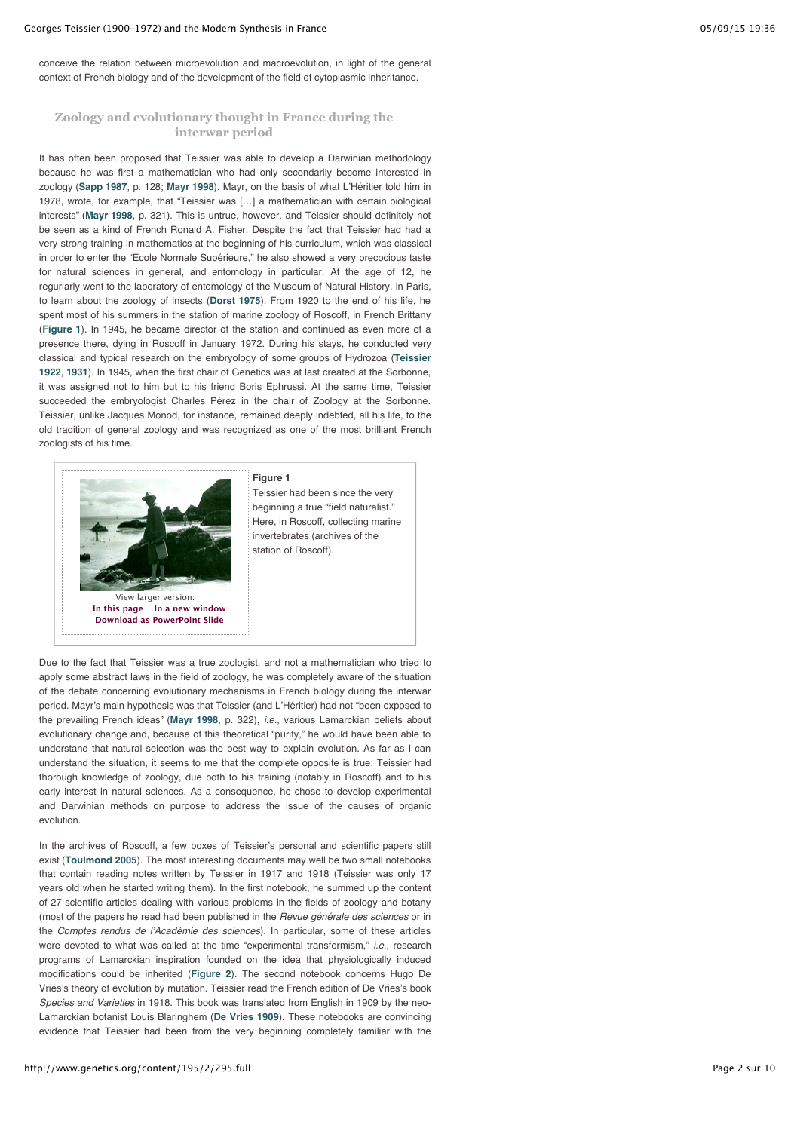#### Georges Teissier (1900–1972) and the Modern Synthesis in France 65/09/15 19:36

#### **Zoology and evolutionary thought in France during the interwar period**

It has often been proposed that Teissier was able to develop a Darwinian methodology because he was first a mathematician who had only secondarily become interested in zoology (**[Sapp 1987](http://www.genetics.org/content/195/2/295.full#ref-26)**, p. 128; **[Mayr 1998](http://www.genetics.org/content/195/2/295.full#ref-22)**). Mayr, on the basis of what L'Héritier told him in 1978, wrote, for example, that "Teissier was […] a mathematician with certain biological interests" (**[Mayr 1998](http://www.genetics.org/content/195/2/295.full#ref-22)**, p. 321). This is untrue, however, and Teissier should definitely not be seen as a kind of French Ronald A. Fisher. Despite the fact that Teissier had had a very strong training in mathematics at the beginning of his curriculum, which was classical in order to enter the "Ecole Normale Supérieure," he also showed a very precocious taste for natural sciences in general, and entomology in particular. At the age of 12, he regurlarly went to the laboratory of entomology of the Museum of Natural History, in Paris, to learn about the zoology of insects (**[Dorst 1975](http://www.genetics.org/content/195/2/295.full#ref-7)**). From 1920 to the end of his life, he spent most of his summers in the station of marine zoology of Roscoff, in French Brittany (**[Figure 1](http://www.genetics.org/content/195/2/295.full#F1)**). In 1945, he became director of the station and continued as even more of a presence there, dying in Roscoff in January 1972. During his stays, he conducted very [classical and typical research on the embryology of some groups of Hydrozoa \(](http://www.genetics.org/content/195/2/295.full#ref-28)**Teissier 1922**, **[1931](http://www.genetics.org/content/195/2/295.full#ref-29)**). In 1945, when the first chair of Genetics was at last created at the Sorbonne, it was assigned not to him but to his friend Boris Ephrussi. At the same time, Teissier succeeded the embryologist Charles Pérez in the chair of Zoology at the Sorbonne. Teissier, unlike Jacques Monod, for instance, remained deeply indebted, all his life, to the old tradition of general zoology and was recognized as one of the most brilliant French zoologists of his time.



**Figure 1** Teissier had been since the very beginning a true "field naturalist." Here, in Roscoff, collecting marine invertebrates (archives of the station of Roscoff).

Due to the fact that Teissier was a true zoologist, and not a mathematician who tried to apply some abstract laws in the field of zoology, he was completely aware of the situation of the debate concerning evolutionary mechanisms in French biology during the interwar period. Mayr's main hypothesis was that Teissier (and L'Héritier) had not "been exposed to the prevailing French ideas" (**[Mayr 1998](http://www.genetics.org/content/195/2/295.full#ref-22)**, p. 322), *i.e.*, various Lamarckian beliefs about evolutionary change and, because of this theoretical "purity," he would have been able to understand that natural selection was the best way to explain evolution. As far as I can understand the situation, it seems to me that the complete opposite is true: Teissier had thorough knowledge of zoology, due both to his training (notably in Roscoff) and to his early interest in natural sciences. As a consequence, he chose to develop experimental and Darwinian methods on purpose to address the issue of the causes of organic evolution.

In the archives of Roscoff, a few boxes of Teissier's personal and scientific papers still exist (**[Toulmond 2005](http://www.genetics.org/content/195/2/295.full#ref-38)**). The most interesting documents may well be two small notebooks that contain reading notes written by Teissier in 1917 and 1918 (Teissier was only 17 years old when he started writing them). In the first notebook, he summed up the content of 27 scientific articles dealing with various problems in the fields of zoology and botany (most of the papers he read had been published in the *Revue générale des sciences* or in the *Comptes rendus de l'Académie des sciences*). In particular, some of these articles were devoted to what was called at the time "experimental transformism," *i.e.*, research programs of Lamarckian inspiration founded on the idea that physiologically induced modifications could be inherited (**[Figure 2](http://www.genetics.org/content/195/2/295.full#F2)**). The second notebook concerns Hugo De Vries's theory of evolution by mutation. Teissier read the French edition of De Vries's book *Species and Varieties* in 1918. This book was translated from English in 1909 by the neo-Lamarckian botanist Louis Blaringhem (**[De Vries 1909](http://www.genetics.org/content/195/2/295.full#ref-5)**). These notebooks are convincing evidence that Teissier had been from the very beginning completely familiar with the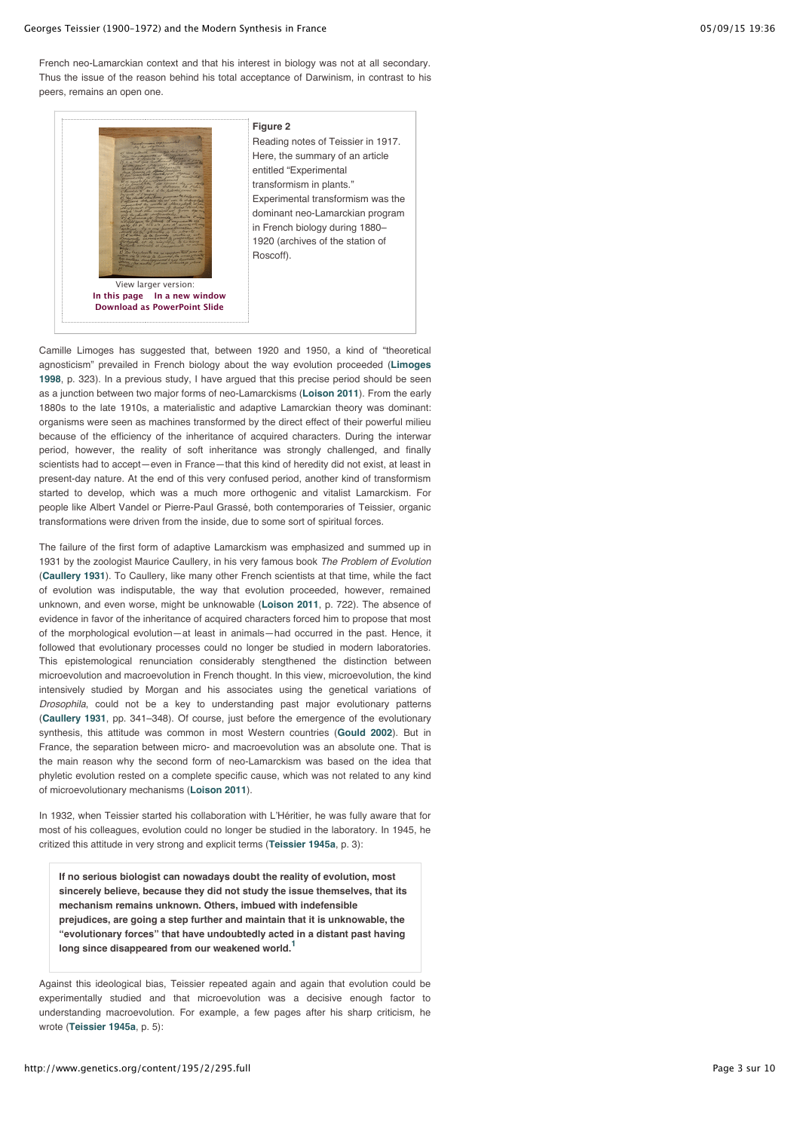#### Georges Teissier (1900–1972) and the Modern Synthesis in France 05/09/15 19:36

French neo-Lamarckian context and that his interest in biology was not at all secondary. Thus the issue of the reason behind his total acceptance of Darwinism, in contrast to his peers, remains an open one.



Camille Limoges has suggested that, between 1920 and 1950, a kind of "theoretical agnosticism" prevailed in French biology about the way evolution proceeded (**Limoges 1998**[, p. 323\). In a previous study, I have argued that this precise period should be seen](http://www.genetics.org/content/195/2/295.full#ref-18) as a junction between two major forms of neo-Lamarckisms (**[Loison 2011](http://www.genetics.org/content/195/2/295.full#ref-19)**). From the early 1880s to the late 1910s, a materialistic and adaptive Lamarckian theory was dominant: organisms were seen as machines transformed by the direct effect of their powerful milieu because of the efficiency of the inheritance of acquired characters. During the interwar period, however, the reality of soft inheritance was strongly challenged, and finally scientists had to accept—even in France—that this kind of heredity did not exist, at least in present-day nature. At the end of this very confused period, another kind of transformism started to develop, which was a much more orthogenic and vitalist Lamarckism. For people like Albert Vandel or Pierre-Paul Grassé, both contemporaries of Teissier, organic transformations were driven from the inside, due to some sort of spiritual forces.

The failure of the first form of adaptive Lamarckism was emphasized and summed up in 1931 by the zoologist Maurice Caullery, in his very famous book *The Problem of Evolution* (**[Caullery 1931](http://www.genetics.org/content/195/2/295.full#ref-4)**). To Caullery, like many other French scientists at that time, while the fact of evolution was indisputable, the way that evolution proceeded, however, remained unknown, and even worse, might be unknowable (**[Loison 2011](http://www.genetics.org/content/195/2/295.full#ref-19)**, p. 722). The absence of evidence in favor of the inheritance of acquired characters forced him to propose that most of the morphological evolution—at least in animals—had occurred in the past. Hence, it followed that evolutionary processes could no longer be studied in modern laboratories. This epistemological renunciation considerably stengthened the distinction between microevolution and macroevolution in French thought. In this view, microevolution, the kind intensively studied by Morgan and his associates using the genetical variations of *Drosophila*, could not be a key to understanding past major evolutionary patterns (**[Caullery 1931](http://www.genetics.org/content/195/2/295.full#ref-4)**, pp. 341–348). Of course, just before the emergence of the evolutionary synthesis, this attitude was common in most Western countries (**[Gould 2002](http://www.genetics.org/content/195/2/295.full#ref-13)**). But in France, the separation between micro- and macroevolution was an absolute one. That is the main reason why the second form of neo-Lamarckism was based on the idea that phyletic evolution rested on a complete specific cause, which was not related to any kind of microevolutionary mechanisms (**[Loison 2011](http://www.genetics.org/content/195/2/295.full#ref-19)**).

In 1932, when Teissier started his collaboration with L'Héritier, he was fully aware that for most of his colleagues, evolution could no longer be studied in the laboratory. In 1945, he critized this attitude in very strong and explicit terms (**[Teissier 1945a](http://www.genetics.org/content/195/2/295.full#ref-31)**, p. 3):

**If no serious biologist can nowadays doubt the reality of evolution, most sincerely believe, because they did not study the issue themselves, that its mechanism remains unknown. Others, imbued with indefensible prejudices, are going a step further and maintain that it is unknowable, the "evolutionary forces" that have undoubtedly acted in a distant past having long since disappeared from our weakened world. [1](http://www.genetics.org/content/195/2/295.full#fn-1)**

Against this ideological bias, Teissier repeated again and again that evolution could be experimentally studied and that microevolution was a decisive enough factor to understanding macroevolution. For example, a few pages after his sharp criticism, he wrote (**[Teissier 1945a](http://www.genetics.org/content/195/2/295.full#ref-31)**, p. 5):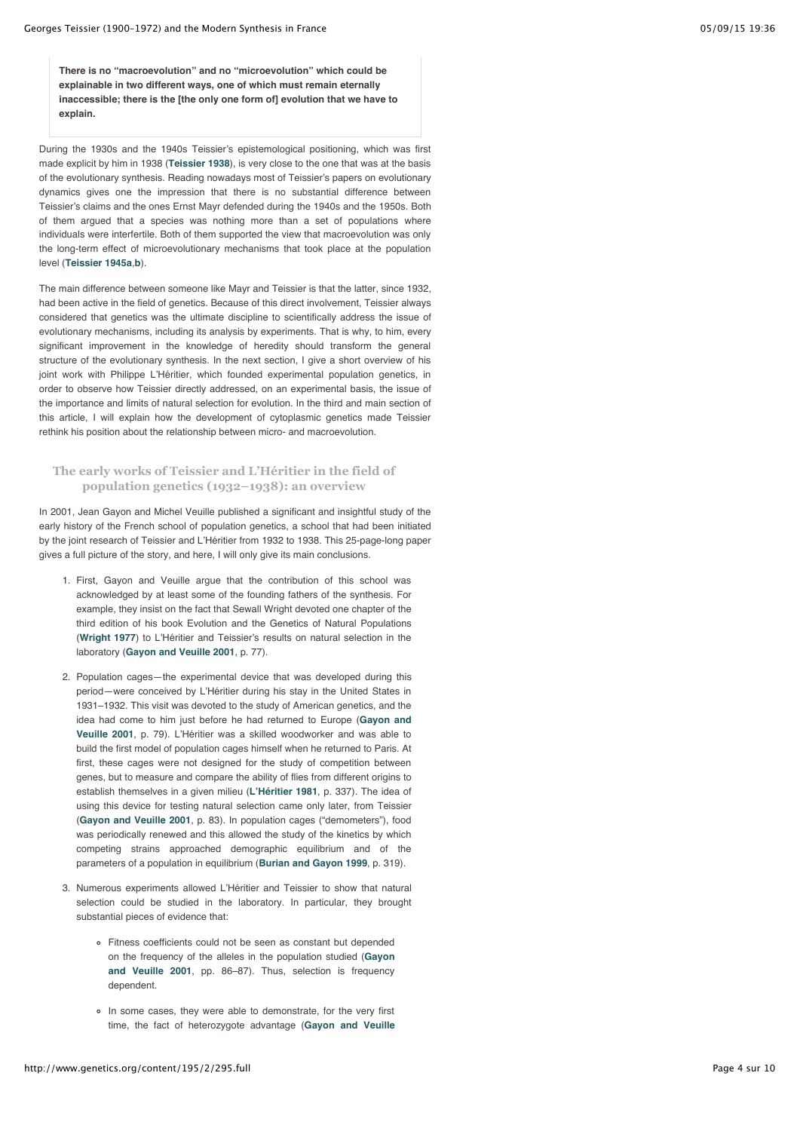**There is no "macroevolution" and no "microevolution" which could be explainable in two different ways, one of which must remain eternally inaccessible; there is the [the only one form of] evolution that we have to explain.**

During the 1930s and the 1940s Teissier's epistemological positioning, which was first made explicit by him in 1938 (**[Teissier 1938](http://www.genetics.org/content/195/2/295.full#ref-30)**), is very close to the one that was at the basis of the evolutionary synthesis. Reading nowadays most of Teissier's papers on evolutionary dynamics gives one the impression that there is no substantial difference between Teissier's claims and the ones Ernst Mayr defended during the 1940s and the 1950s. Both of them argued that a species was nothing more than a set of populations where individuals were interfertile. Both of them supported the view that macroevolution was only the long-term effect of microevolutionary mechanisms that took place at the population level (**[Teissier 1945a](http://www.genetics.org/content/195/2/295.full#ref-31)**,**[b](http://www.genetics.org/content/195/2/295.full#ref-32)**).

The main difference between someone like Mayr and Teissier is that the latter, since 1932, had been active in the field of genetics. Because of this direct involvement, Teissier always considered that genetics was the ultimate discipline to scientifically address the issue of evolutionary mechanisms, including its analysis by experiments. That is why, to him, every significant improvement in the knowledge of heredity should transform the general structure of the evolutionary synthesis. In the next section, I give a short overview of his joint work with Philippe L'Héritier, which founded experimental population genetics, in order to observe how Teissier directly addressed, on an experimental basis, the issue of the importance and limits of natural selection for evolution. In the third and main section of this article, I will explain how the development of cytoplasmic genetics made Teissier rethink his position about the relationship between micro- and macroevolution.

### **The early works of Teissier and L'Héritier in the field of population genetics (1932–1938): an overview**

In 2001, Jean Gayon and Michel Veuille published a significant and insightful study of the early history of the French school of population genetics, a school that had been initiated by the joint research of Teissier and L'Héritier from 1932 to 1938. This 25-page-long paper gives a full picture of the story, and here, I will only give its main conclusions.

- 1. First, Gayon and Veuille argue that the contribution of this school was acknowledged by at least some of the founding fathers of the synthesis. For example, they insist on the fact that Sewall Wright devoted one chapter of the third edition of his book Evolution and the Genetics of Natural Populations (**[Wright 1977](http://www.genetics.org/content/195/2/295.full#ref-39)**) to L'Héritier and Teissier's results on natural selection in the laboratory (**[Gayon and Veuille 2001](http://www.genetics.org/content/195/2/295.full#ref-11)**, p. 77).
- 2. Population cages—the experimental device that was developed during this period—were conceived by L'Héritier during his stay in the United States in 1931–1932. This visit was devoted to the study of American genetics, and the [idea had come to him just before he had returned to Europe \(](http://www.genetics.org/content/195/2/295.full#ref-11)**Gayon and Veuille 2001**, p. 79). L'Héritier was a skilled woodworker and was able to build the first model of population cages himself when he returned to Paris. At first, these cages were not designed for the study of competition between genes, but to measure and compare the ability of flies from different origins to establish themselves in a given milieu (**[L'Héritier 1981](http://www.genetics.org/content/195/2/295.full#ref-16)**, p. 337). The idea of using this device for testing natural selection came only later, from Teissier (**[Gayon and Veuille 2001](http://www.genetics.org/content/195/2/295.full#ref-11)**, p. 83). In population cages ("demometers"), food was periodically renewed and this allowed the study of the kinetics by which competing strains approached demographic equilibrium and of the parameters of a population in equilibrium (**[Burian and Gayon 1999](http://www.genetics.org/content/195/2/295.full#ref-2)**, p. 319).
- 3. Numerous experiments allowed L'Héritier and Teissier to show that natural selection could be studied in the laboratory. In particular, they brought substantial pieces of evidence that:
	- Fitness coefficients could not be seen as constant but depended [on the frequency of the alleles in the population studied \(](http://www.genetics.org/content/195/2/295.full#ref-11)**Gayon and Veuille 2001**, pp. 86–87). Thus, selection is frequency dependent.
	- In some cases, they were able to demonstrate, for the very first [time, the fact of heterozygote advantage \(](http://www.genetics.org/content/195/2/295.full#ref-11)**Gayon and Veuille**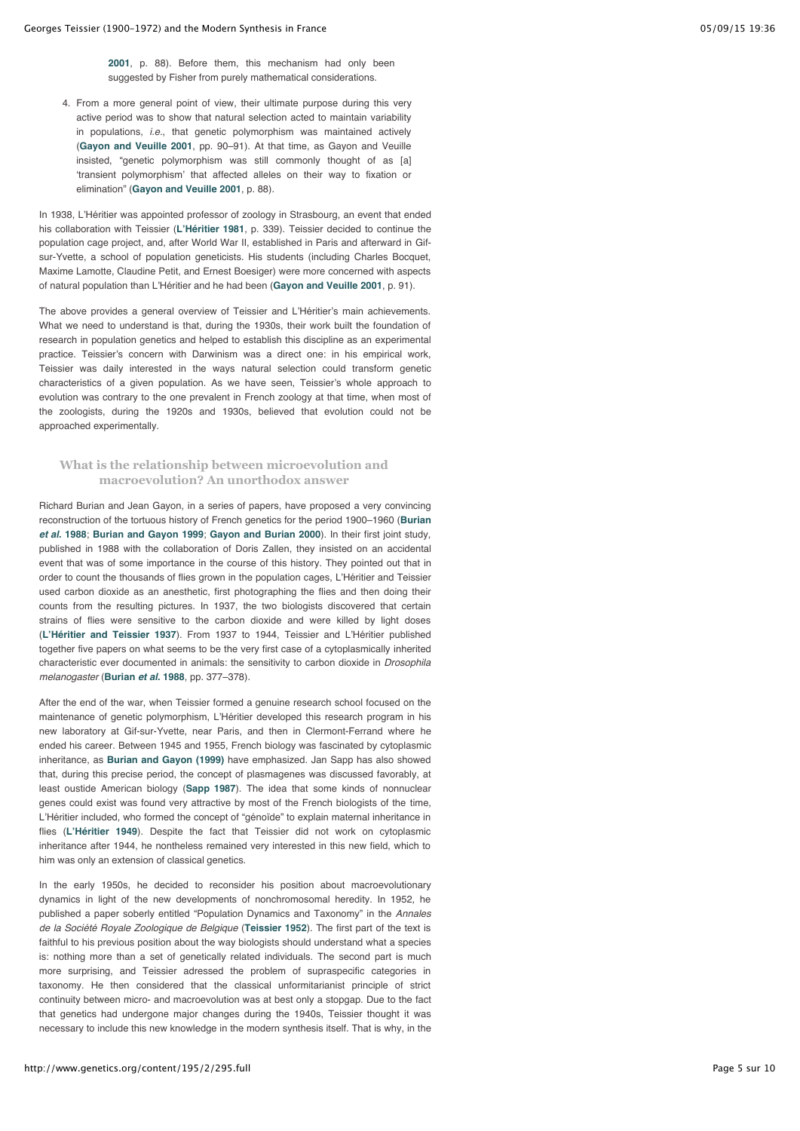4. From a more general point of view, their ultimate purpose during this very active period was to show that natural selection acted to maintain variability in populations, *i.e.*, that genetic polymorphism was maintained actively (**[Gayon and Veuille 2001](http://www.genetics.org/content/195/2/295.full#ref-11)**, pp. 90–91). At that time, as Gayon and Veuille insisted, "genetic polymorphism was still commonly thought of as [a] 'transient polymorphism' that affected alleles on their way to fixation or elimination" (**[Gayon and Veuille 2001](http://www.genetics.org/content/195/2/295.full#ref-11)**, p. 88).

In 1938, L'Héritier was appointed professor of zoology in Strasbourg, an event that ended his collaboration with Teissier (**[L'Héritier 1981](http://www.genetics.org/content/195/2/295.full#ref-16)**, p. 339). Teissier decided to continue the population cage project, and, after World War II, established in Paris and afterward in Gifsur-Yvette, a school of population geneticists. His students (including Charles Bocquet, Maxime Lamotte, Claudine Petit, and Ernest Boesiger) were more concerned with aspects of natural population than L'Héritier and he had been (**[Gayon and Veuille 2001](http://www.genetics.org/content/195/2/295.full#ref-11)**, p. 91).

The above provides a general overview of Teissier and L'Héritier's main achievements. What we need to understand is that, during the 1930s, their work built the foundation of research in population genetics and helped to establish this discipline as an experimental practice. Teissier's concern with Darwinism was a direct one: in his empirical work, Teissier was daily interested in the ways natural selection could transform genetic characteristics of a given population. As we have seen, Teissier's whole approach to evolution was contrary to the one prevalent in French zoology at that time, when most of the zoologists, during the 1920s and 1930s, believed that evolution could not be approached experimentally.

### **What is the relationship between microevolution and macroevolution? An unorthodox answer**

Richard Burian and Jean Gayon, in a series of papers, have proposed a very convincing [reconstruction of the tortuous history of French genetics for the period 1900–1960 \(](http://www.genetics.org/content/195/2/295.full#ref-3)**Burian** *et al.* **1988**; **[Burian and Gayon 1999](http://www.genetics.org/content/195/2/295.full#ref-2)**; **[Gayon and Burian 2000](http://www.genetics.org/content/195/2/295.full#ref-10)**). In their first joint study, published in 1988 with the collaboration of Doris Zallen, they insisted on an accidental event that was of some importance in the course of this history. They pointed out that in order to count the thousands of flies grown in the population cages, L'Héritier and Teissier used carbon dioxide as an anesthetic, first photographing the flies and then doing their counts from the resulting pictures. In 1937, the two biologists discovered that certain strains of flies were sensitive to the carbon dioxide and were killed by light doses (**[L'Héritier and Teissier 1937](http://www.genetics.org/content/195/2/295.full#ref-17)**). From 1937 to 1944, Teissier and L'Héritier published together five papers on what seems to be the very first case of a cytoplasmically inherited characteristic ever documented in animals: the sensitivity to carbon dioxide in *Drosophila melanogaster* (**[Burian](http://www.genetics.org/content/195/2/295.full#ref-3)** *et al.* **1988**, pp. 377–378).

After the end of the war, when Teissier formed a genuine research school focused on the maintenance of genetic polymorphism, L'Héritier developed this research program in his new laboratory at Gif-sur-Yvette, near Paris, and then in Clermont-Ferrand where he ended his career. Between 1945 and 1955, French biology was fascinated by cytoplasmic inheritance, as **[Burian and Gayon \(1999\)](http://www.genetics.org/content/195/2/295.full#ref-2)** have emphasized. Jan Sapp has also showed that, during this precise period, the concept of plasmagenes was discussed favorably, at least oustide American biology (**[Sapp 1987](http://www.genetics.org/content/195/2/295.full#ref-26)**). The idea that some kinds of nonnuclear genes could exist was found very attractive by most of the French biologists of the time, L'Héritier included, who formed the concept of "génoïde" to explain maternal inheritance in flies (**[L'Héritier 1949](http://www.genetics.org/content/195/2/295.full#ref-15)**). Despite the fact that Teissier did not work on cytoplasmic inheritance after 1944, he nontheless remained very interested in this new field, which to him was only an extension of classical genetics.

In the early 1950s, he decided to reconsider his position about macroevolutionary dynamics in light of the new developments of nonchromosomal heredity. In 1952, he published a paper soberly entitled "Population Dynamics and Taxonomy" in the *Annales de la Société Royale Zoologique de Belgique* (**[Teissier 1952](http://www.genetics.org/content/195/2/295.full#ref-33)**). The first part of the text is faithful to his previous position about the way biologists should understand what a species is: nothing more than a set of genetically related individuals. The second part is much more surprising, and Teissier adressed the problem of supraspecific categories in taxonomy. He then considered that the classical unformitarianist principle of strict continuity between micro- and macroevolution was at best only a stopgap. Due to the fact that genetics had undergone major changes during the 1940s, Teissier thought it was necessary to include this new knowledge in the modern synthesis itself. That is why, in the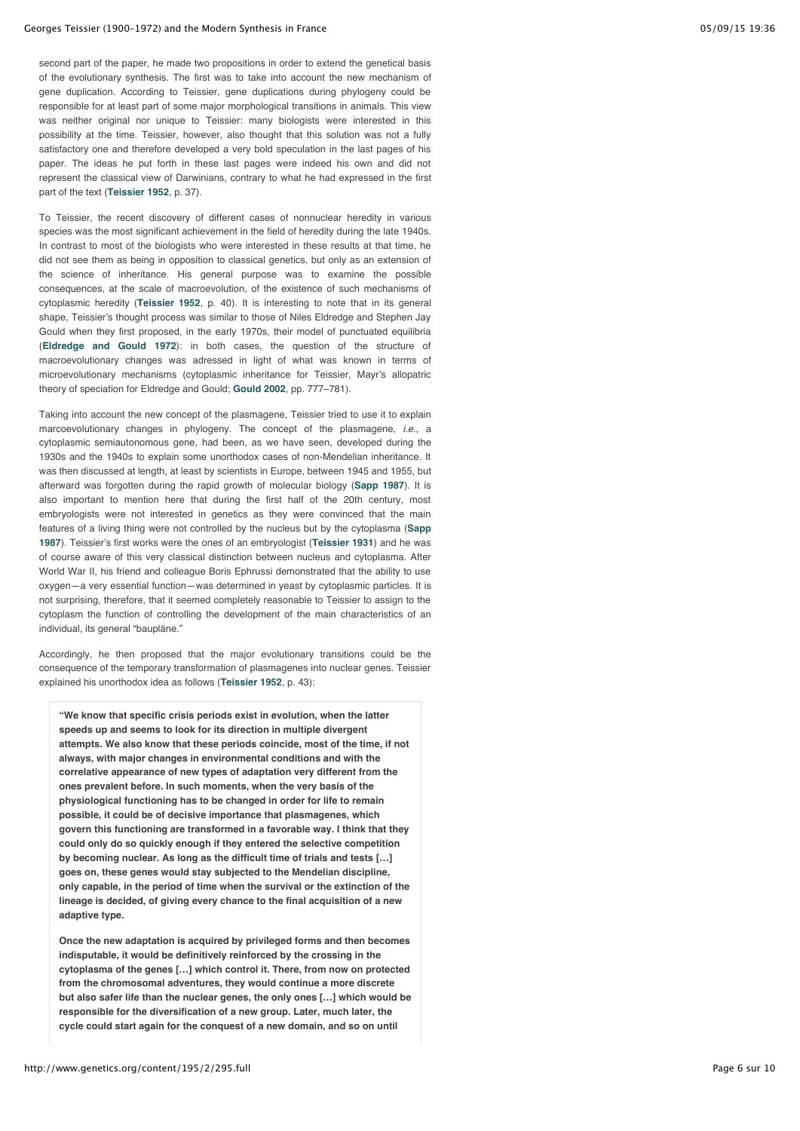second part of the paper, he made two propositions in order to extend the genetical basis of the evolutionary synthesis. The first was to take into account the new mechanism of gene duplication. According to Teissier, gene duplications during phylogeny could be responsible for at least part of some major morphological transitions in animals. This view was neither original nor unique to Teissier: many biologists were interested in this possibility at the time. Teissier, however, also thought that this solution was not a fully satisfactory one and therefore developed a very bold speculation in the last pages of his paper. The ideas he put forth in these last pages were indeed his own and did not represent the classical view of Darwinians, contrary to what he had expressed in the first part of the text (**[Teissier 1952](http://www.genetics.org/content/195/2/295.full#ref-33)**, p. 37).

To Teissier, the recent discovery of different cases of nonnuclear heredity in various species was the most significant achievement in the field of heredity during the late 1940s. In contrast to most of the biologists who were interested in these results at that time, he did not see them as being in opposition to classical genetics, but only as an extension of the science of inheritance. His general purpose was to examine the possible consequences, at the scale of macroevolution, of the existence of such mechanisms of cytoplasmic heredity (**[Teissier 1952](http://www.genetics.org/content/195/2/295.full#ref-33)**, p. 40). It is interesting to note that in its general shape, Teissier's thought process was similar to those of Niles Eldredge and Stephen Jay Gould when they first proposed, in the early 1970s, their model of punctuated equilibria (**[Eldredge and Gould 1972](http://www.genetics.org/content/195/2/295.full#ref-8)**): in both cases, the question of the structure of macroevolutionary changes was adressed in light of what was known in terms of microevolutionary mechanisms (cytoplasmic inheritance for Teissier, Mayr's allopatric theory of speciation for Eldredge and Gould; **[Gould 2002](http://www.genetics.org/content/195/2/295.full#ref-13)**, pp. 777–781).

Taking into account the new concept of the plasmagene, Teissier tried to use it to explain marcoevolutionary changes in phylogeny. The concept of the plasmagene, *i.e.*, a cytoplasmic semiautonomous gene, had been, as we have seen, developed during the 1930s and the 1940s to explain some unorthodox cases of non-Mendelian inheritance. It was then discussed at length, at least by scientists in Europe, between 1945 and 1955, but afterward was forgotten during the rapid growth of molecular biology (**[Sapp 1987](http://www.genetics.org/content/195/2/295.full#ref-26)**). It is also important to mention here that during the first half of the 20th century, most embryologists were not interested in genetics as they were convinced that the main [features of a living thing were not controlled by the nucleus but by the cytoplasma \(](http://www.genetics.org/content/195/2/295.full#ref-26)**Sapp 1987**). Teissier's first works were the ones of an embryologist (**[Teissier 1931](http://www.genetics.org/content/195/2/295.full#ref-29)**) and he was of course aware of this very classical distinction between nucleus and cytoplasma. After World War II, his friend and colleague Boris Ephrussi demonstrated that the ability to use oxygen—a very essential function—was determined in yeast by cytoplasmic particles. It is not surprising, therefore, that it seemed completely reasonable to Teissier to assign to the cytoplasm the function of controlling the development of the main characteristics of an individual, its general "baupläne."

Accordingly, he then proposed that the major evolutionary transitions could be the consequence of the temporary transformation of plasmagenes into nuclear genes. Teissier explained his unorthodox idea as follows (**[Teissier 1952](http://www.genetics.org/content/195/2/295.full#ref-33)**, p. 43):

**"We know that specific crisis periods exist in evolution, when the latter speeds up and seems to look for its direction in multiple divergent attempts. We also know that these periods coincide, most of the time, if not always, with major changes in environmental conditions and with the correlative appearance of new types of adaptation very different from the ones prevalent before. In such moments, when the very basis of the physiological functioning has to be changed in order for life to remain possible, it could be of decisive importance that plasmagenes, which govern this functioning are transformed in a favorable way. I think that they could only do so quickly enough if they entered the selective competition by becoming nuclear. As long as the difficult time of trials and tests […] goes on, these genes would stay subjected to the Mendelian discipline, only capable, in the period of time when the survival or the extinction of the lineage is decided, of giving every chance to the final acquisition of a new adaptive type.**

**Once the new adaptation is acquired by privileged forms and then becomes indisputable, it would be definitively reinforced by the crossing in the cytoplasma of the genes […] which control it. There, from now on protected from the chromosomal adventures, they would continue a more discrete but also safer life than the nuclear genes, the only ones […] which would be responsible for the diversification of a new group. Later, much later, the cycle could start again for the conquest of a new domain, and so on until**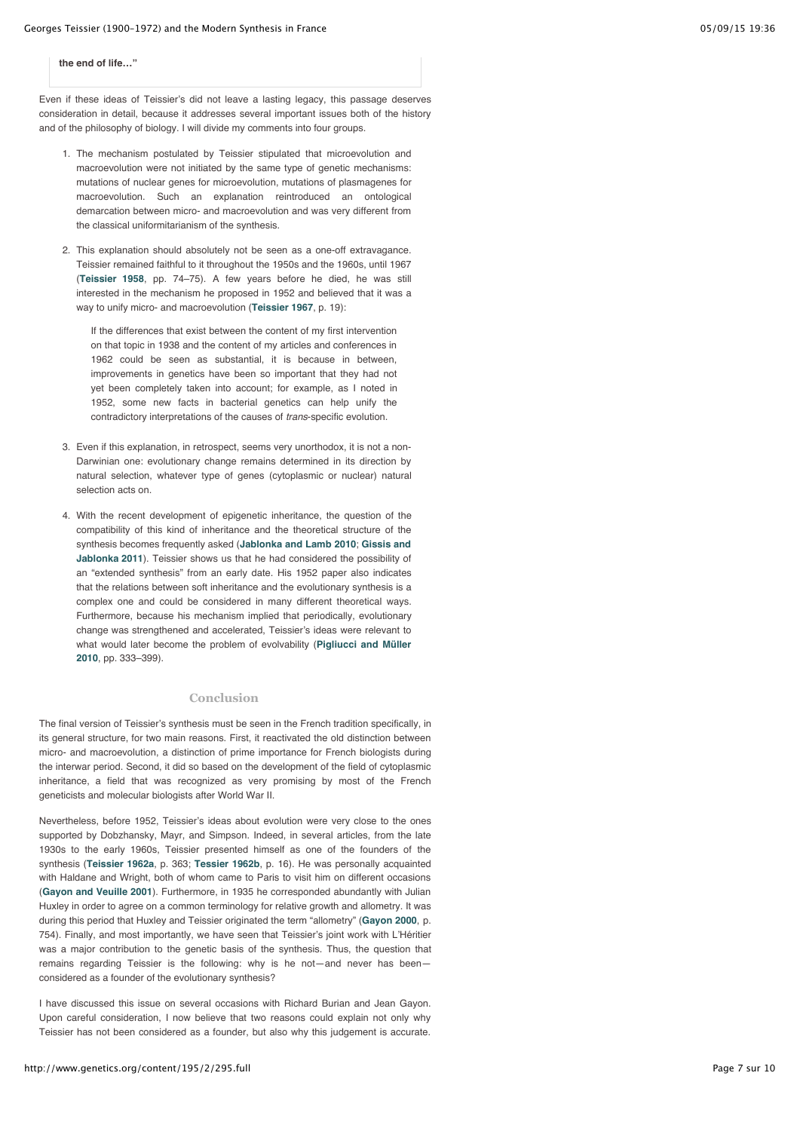**the end of life…"**

Even if these ideas of Teissier's did not leave a lasting legacy, this passage deserves consideration in detail, because it addresses several important issues both of the history and of the philosophy of biology. I will divide my comments into four groups.

- 1. The mechanism postulated by Teissier stipulated that microevolution and macroevolution were not initiated by the same type of genetic mechanisms: mutations of nuclear genes for microevolution, mutations of plasmagenes for macroevolution. Such an explanation reintroduced an ontological demarcation between micro- and macroevolution and was very different from the classical uniformitarianism of the synthesis.
- 2. This explanation should absolutely not be seen as a one-off extravagance. Teissier remained faithful to it throughout the 1950s and the 1960s, until 1967 (**[Teissier 1958](http://www.genetics.org/content/195/2/295.full#ref-34)**, pp. 74–75). A few years before he died, he was still interested in the mechanism he proposed in 1952 and believed that it was a way to unify micro- and macroevolution (**[Teissier 1967](http://www.genetics.org/content/195/2/295.full#ref-37)**, p. 19):

If the differences that exist between the content of my first intervention on that topic in 1938 and the content of my articles and conferences in 1962 could be seen as substantial, it is because in between, improvements in genetics have been so important that they had not yet been completely taken into account; for example, as I noted in 1952, some new facts in bacterial genetics can help unify the contradictory interpretations of the causes of *trans*-specific evolution.

- 3. Even if this explanation, in retrospect, seems very unorthodox, it is not a non-Darwinian one: evolutionary change remains determined in its direction by natural selection, whatever type of genes (cytoplasmic or nuclear) natural selection acts on.
- 4. With the recent development of epigenetic inheritance, the question of the compatibility of this kind of inheritance and the theoretical structure of the synthesis becomes frequently asked (**[Jablonka and Lamb 2010](http://www.genetics.org/content/195/2/295.full#ref-14)**; **Gissis and Jablonka 2011**[\). Teissier shows us that he had considered the possibility of](http://www.genetics.org/content/195/2/295.full#ref-12) an "extended synthesis" from an early date. His 1952 paper also indicates that the relations between soft inheritance and the evolutionary synthesis is a complex one and could be considered in many different theoretical ways. Furthermore, because his mechanism implied that periodically, evolutionary change was strengthened and accelerated, Teissier's ideas were relevant to [what would later become the problem of evolvability \(](http://www.genetics.org/content/195/2/295.full#ref-25)**Pigliucci and Müller 2010**, pp. 333–399).

### **Conclusion**

The final version of Teissier's synthesis must be seen in the French tradition specifically, in its general structure, for two main reasons. First, it reactivated the old distinction between micro- and macroevolution, a distinction of prime importance for French biologists during the interwar period. Second, it did so based on the development of the field of cytoplasmic inheritance, a field that was recognized as very promising by most of the French geneticists and molecular biologists after World War II.

Nevertheless, before 1952, Teissier's ideas about evolution were very close to the ones supported by Dobzhansky, Mayr, and Simpson. Indeed, in several articles, from the late 1930s to the early 1960s, Teissier presented himself as one of the founders of the synthesis (**[Teissier 1962a](http://www.genetics.org/content/195/2/295.full#ref-35)**, p. 363; **[Tessier 1962b](http://www.genetics.org/content/195/2/295.full#ref-36)**, p. 16). He was personally acquainted with Haldane and Wright, both of whom came to Paris to visit him on different occasions (**[Gayon and Veuille 2001](http://www.genetics.org/content/195/2/295.full#ref-11)**). Furthermore, in 1935 he corresponded abundantly with Julian Huxley in order to agree on a common terminology for relative growth and allometry. It was during this period that Huxley and Teissier originated the term "allometry" (**[Gayon 2000](http://www.genetics.org/content/195/2/295.full#ref-9)**, p. 754). Finally, and most importantly, we have seen that Teissier's joint work with L'Héritier was a major contribution to the genetic basis of the synthesis. Thus, the question that remains regarding Teissier is the following: why is he not—and never has been considered as a founder of the evolutionary synthesis?

I have discussed this issue on several occasions with Richard Burian and Jean Gayon. Upon careful consideration, I now believe that two reasons could explain not only why Teissier has not been considered as a founder, but also why this judgement is accurate.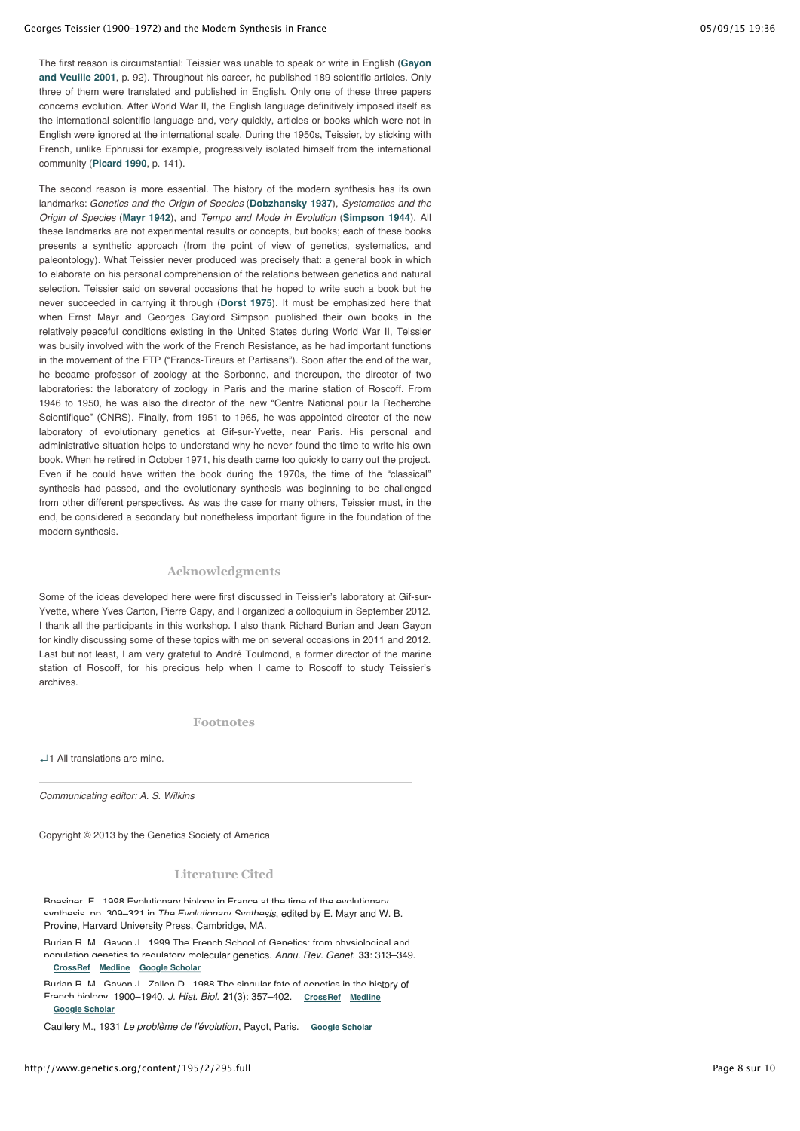[The first reason is circumstantial: Teissier was unable to speak or write in English \(](http://www.genetics.org/content/195/2/295.full#ref-11)**Gayon and Veuille 2001**, p. 92). Throughout his career, he published 189 scientific articles. Only three of them were translated and published in English. Only one of these three papers concerns evolution. After World War II, the English language definitively imposed itself as the international scientific language and, very quickly, articles or books which were not in English were ignored at the international scale. During the 1950s, Teissier, by sticking with French, unlike Ephrussi for example, progressively isolated himself from the international community (**[Picard 1990](http://www.genetics.org/content/195/2/295.full#ref-24)**, p. 141).

The second reason is more essential. The history of the modern synthesis has its own landmarks: *Genetics and the Origin of Species* (**[Dobzhansky 1937](http://www.genetics.org/content/195/2/295.full#ref-6)**), *Systematics and the Origin of Species* (**[Mayr 1942](http://www.genetics.org/content/195/2/295.full#ref-20)**), and *Tempo and Mode in Evolution* (**[Simpson 1944](http://www.genetics.org/content/195/2/295.full#ref-27)**). All these landmarks are not experimental results or concepts, but books; each of these books presents a synthetic approach (from the point of view of genetics, systematics, and paleontology). What Teissier never produced was precisely that: a general book in which to elaborate on his personal comprehension of the relations between genetics and natural selection. Teissier said on several occasions that he hoped to write such a book but he never succeeded in carrying it through (**[Dorst 1975](http://www.genetics.org/content/195/2/295.full#ref-7)**). It must be emphasized here that when Ernst Mayr and Georges Gaylord Simpson published their own books in the relatively peaceful conditions existing in the United States during World War II, Teissier was busily involved with the work of the French Resistance, as he had important functions in the movement of the FTP ("Francs-Tireurs et Partisans"). Soon after the end of the war, he became professor of zoology at the Sorbonne, and thereupon, the director of two laboratories: the laboratory of zoology in Paris and the marine station of Roscoff. From 1946 to 1950, he was also the director of the new "Centre National pour la Recherche Scientifique" (CNRS). Finally, from 1951 to 1965, he was appointed director of the new laboratory of evolutionary genetics at Gif-sur-Yvette, near Paris. His personal and administrative situation helps to understand why he never found the time to write his own book. When he retired in October 1971, his death came too quickly to carry out the project. Even if he could have written the book during the 1970s, the time of the "classical" synthesis had passed, and the evolutionary synthesis was beginning to be challenged from other different perspectives. As was the case for many others, Teissier must, in the end, be considered a secondary but nonetheless important figure in the foundation of the modern synthesis.

#### **Acknowledgments**

Some of the ideas developed here were first discussed in Teissier's laboratory at Gif-sur-Yvette, where Yves Carton, Pierre Capy, and I organized a colloquium in September 2012. I thank all the participants in this workshop. I also thank Richard Burian and Jean Gayon for kindly discussing some of these topics with me on several occasions in 2011 and 2012. Last but not least, I am very grateful to André Toulmond, a former director of the marine station of Roscoff, for his precious help when I came to Roscoff to study Teissier's archives.

#### **Footnotes**

[↵](http://www.genetics.org/content/195/2/295.full#xref-fn-1-1)1 All translations are mine.

*Communicating editor: A. S. Wilkins*

Copyright © 2013 by the Genetics Society of America

#### **Literature Cited**

Boesiner, E., 1998 Evolutionary biology in France at the time of the evolutionary synthesis, pp. 309–321 in *The Evolutionary Synthesis*, edited by E. Mayr and W. B. Provine, Harvard University Press, Cambridge, MA.

Burian R. M., Gayon J., 1999 The French School of Genetics: from physiological and population genetics to regulatory molecular genetics. *Annu. Rev. Genet.* **33**: 313–349. **[CrossRef](http://www.genetics.org/external-ref?access_num=10.1146/annurev.genet.33.1.313&link_type=DOI) [Medline](http://www.genetics.org/external-ref?access_num=10690411&link_type=MED) [Google Scholar](http://scholar.google.com/scholar_lookup?title=The%20French%20School%20of%20Genetics%3A%20from%20physiological%20and%20population%20genetics%20to%20regulatory%20molecular%20genetics.&author=R.%20M.%20Burian&author=J.%20Gayon&publication_year=1999&journal=Annu.%20Rev.%20Genet.&volume=33&pages=313-349)**

Burian R. M., Gayon J., Zallen D., 1988 The singular fate of genetics in the history of French biology, 1900–1940. *J. Hist. Biol.* **21**(3): 357–402. **[CrossRef](http://www.genetics.org/external-ref?access_num=10.1007/BF00144087&link_type=DOI) [Medline](http://www.genetics.org/external-ref?access_num=11621723&link_type=MED) [Google Scholar](http://scholar.google.com/scholar_lookup?title=The%20singular%20fate%20of%20genetics%20in%20the%20history%20of%20French%20biology%2C%201900%E2%80%931940.&author=R.%20M.%20Burian&author=J.%20Gayon&author=D.%20Zallen&publication_year=1988&journal=J.%20Hist.%20Biol.&volume=21&issue=3&pages=357-402)**

Caullery M., 1931 *Le problème de l'évolution*, Payot, Paris. **[Google Scholar](http://scholar.google.com/scholar_lookup?title=Le%20probl%C3%A8me%20de%20l%E2%80%99%C3%A9volution&author=M.%20Caullery&publication_year=1931)**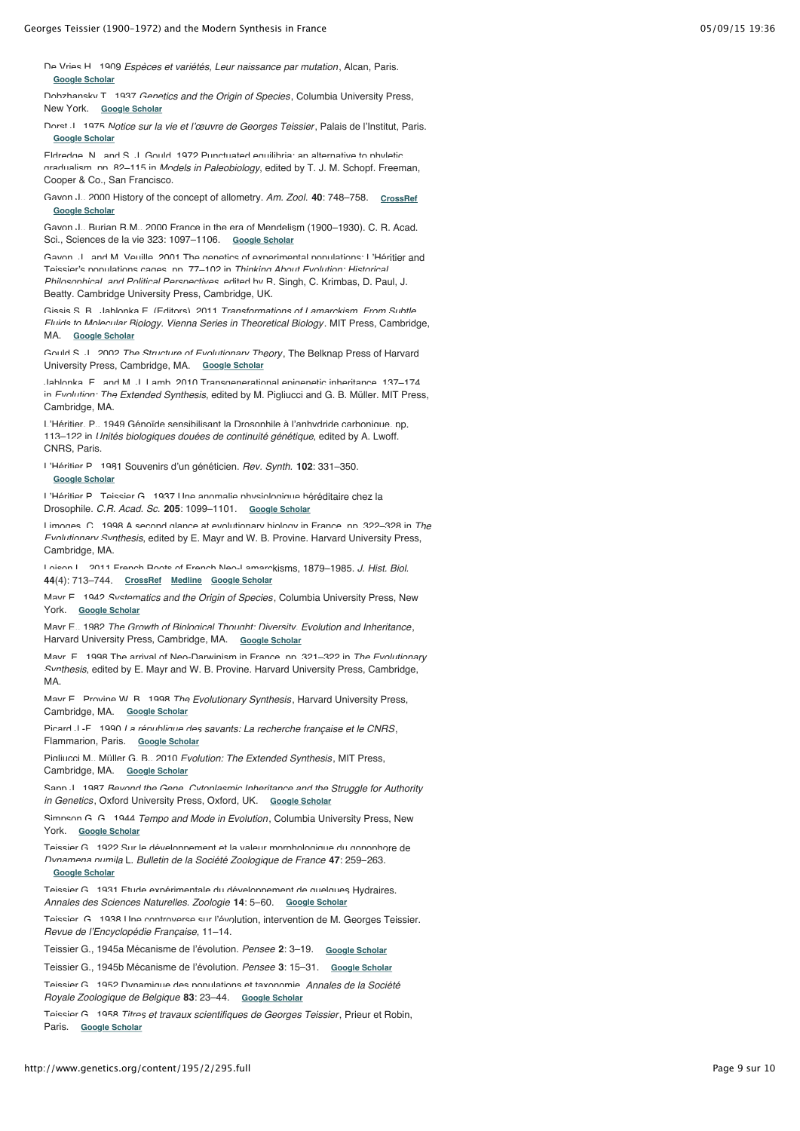De Vries H., 1909 *Espèces et variétés, Leur naissance par mutation*, Alcan, Paris. **[Google Scholar](http://scholar.google.com/scholar_lookup?title=Esp%C3%A8ces%20et%20vari%C3%A9t%C3%A9s%2C%20Leur%20naissance%20par%20mutation&author=H.%20De%20Vries&publication_year=1909)**

Dobzhansky T., 1937 *Genetics and the Origin of Species*, Columbia University Press, New York. **[Google Scholar](http://scholar.google.com/scholar_lookup?title=Genetics%20and%20the%20Origin%20of%20Species&author=T.%20Dobzhansky&publication_year=1937)**

Dorst J., 1975 *Notice sur la vie et l'œuvre de Georges Teissier*, Palais de l'Institut, Paris. **[Google Scholar](http://scholar.google.com/scholar_lookup?title=Notice%20sur%20la%20vie%20et%20l%E2%80%99%C5%93uvre%20de%20Georges%20Teissier&author=J.%20Dorst&publication_year=1975)**

Eldredge, N., and S. J. Gould, 1972 Punctuated equilibria: an alternative to phyletic gradualism, pp. 82–115 in *Models in Paleobiology*, edited by T. J. M. Schopf. Freeman, Cooper & Co., San Francisco.

Gayon J., 2000 History of the concept of allometry. *Am. Zool.* **40**: 748–758. **[CrossRef](http://www.genetics.org/external-ref?access_num=10.1668/0003-1569(2000)040%5B0748:HOTCOA%5D2.0.CO;2&link_type=DOI) [Google Scholar](http://scholar.google.com/scholar_lookup?title=History%20of%20the%20concept%20of%20allometry.&author=J.%20Gayon&publication_year=2000&journal=Am.%20Zool.&volume=40&pages=748-758)**

Gayon J., Burian R.M., 2000 France in the era of Mendelism (1900–1930). C. R. Acad. Sci., Sciences de la vie 323: 1097–1106. **[Google Scholar](http://scholar.google.com/scholar_lookup?author=J.%20Gayon&author=R.M.%20Burian&publication_year=2000)**

Gayon, J., and M. Veuille, 2001 The genetics of experimental populations: L'Héritier and Teissier's populations cages, pp. 77–102 in *Thinking About Evolution: Historical*, *Philosophical*, *and Political Perspectives*, edited by R. Singh, C. Krimbas, D. Paul, J. Beatty. Cambridge University Press, Cambridge, UK.

Gissis S. B., Jablonka E. (Editors), 2011 *Transformations of Lamarckism, From Subtle Fluids to Molecular Biology. Vienna Series in Theoretical Biology*. MIT Press, Cambridge, MA. **[Google Scholar](http://scholar.google.com/scholar_lookup?title=Transformations%20of%20Lamarckism%2C%20From%20Subtle%20Fluids%20to%20Molecular%20Biology.%20Vienna%20Series%20in%20Theoretical%20Biology&author=S.%20B.%20Gissis&author=E.%20Jablonka&publication_year=2011)**

Gould S. J., 2002 *The Structure of Evolutionary Theory*, The Belknap Press of Harvard University Press, Cambridge, MA. **[Google Scholar](http://scholar.google.com/scholar_lookup?title=The%20Structure%20of%20Evolutionary%20Theory&author=S.%20J.%20Gould&publication_year=2002)**

Jablonka, E., and M. J. Lamb, 2010 Transgenerational epigenetic inheritance, 137–174, in *Evolution: The Extended Synthesis*, edited by M. Pigliucci and G. B. Müller. MIT Press, Cambridge, MA.

L'Héritier, P., 1949 Génoïde sensibilisant la Drosophile à l'anhydride carbonique, pp. 113–122 in *Unités biologiques douées de continuité génétique*, edited by A. Lwoff. CNRS, Paris.

L'Héritier P., 1981 Souvenirs d'un généticien. *Rev. Synth.* **102**: 331–350. **[Google Scholar](http://scholar.google.com/scholar_lookup?title=Souvenirs%20d%E2%80%99un%20g%C3%A9n%C3%A9ticien.&author=P.%20L%E2%80%99H%C3%A9ritier&publication_year=1981&journal=Rev.%20Synth.&volume=102&pages=331-350)**

L'Héritier P., Teissier G., 1937 Une anomalie physiologique héréditaire chez la Drosophile. *C.R. Acad. Sc.* **205**: 1099–1101. **[Google Scholar](http://scholar.google.com/scholar_lookup?title=Une%20anomalie%20physiologique%20h%C3%A9r%C3%A9ditaire%20chez%20la%20Drosophile.&author=P.%20L%E2%80%99H%C3%A9ritier&author=G.%20Teissier&publication_year=1937&journal=C.R.%20Acad.%20Sc.&volume=205&pages=1099-1101)**

Limoges, C., 1998 A second glance at evolutionary biology in France, pp. 322–328 in *The Evolutionary Synthesis*, edited by E. Mayr and W. B. Provine. Harvard University Press, Cambridge, MA.

Loison L., 2011 French Roots of French Neo-Lamarckisms, 1879–1985. *J. Hist. Biol.* **44**(4): 713–744. **[CrossRef](http://www.genetics.org/external-ref?access_num=10.1007/s10739-010-9240-x&link_type=DOI) [Medline](http://www.genetics.org/external-ref?access_num=20665089&link_type=MED) [Google Scholar](http://scholar.google.com/scholar_lookup?title=French%20Roots%20of%20French%20Neo-Lamarckisms%2C%201879%E2%80%931985.&author=L.%20Loison&publication_year=2011&journal=J.%20Hist.%20Biol.&volume=44&issue=4&pages=713-744)**

Mayr F 1942 Systematics and the Origin of Species, Columbia University Press, New York. **[Google Scholar](http://scholar.google.com/scholar_lookup?title=Systematics%20and%20the%20Origin%20of%20Species&author=E.%20Mayr&publication_year=1942)**

Mayr F 1982 *The Growth of Biological Thought: Diversity, Evolution and Inheritance*, Harvard University Press, Cambridge, MA. **[Google Scholar](http://scholar.google.com/scholar_lookup?title=The%20Growth%20of%20Biological%20Thought%3A%20Diversity%2C%20Evolution%20and%20Inheritance&author=E.%20Mayr&publication_year=1982)**

Mayr, E., 1998 The arrival of Neo-Darwinism in France, pp. 321–322 in *The Evolutionary Synthesis*, edited by E. Mayr and W. B. Provine. Harvard University Press, Cambridge, MA.

Mavr F. Provine W. R., 1998 *The Evolutionary Synthesis*, Harvard University Press, Cambridge, MA. **[Google Scholar](http://scholar.google.com/scholar_lookup?title=The%20Evolutionary%20Synthesis&author=E.%20Mayr&author=W.%20B.%20Provine&publication_year=1998)**

Picard J.-F., 1990 *La république des savants: La recherche française et le CNRS*, Flammarion, Paris. **[Google Scholar](http://scholar.google.com/scholar_lookup?title=La%20r%C3%A9publique%20des%20savants%3A%20La%20recherche%20fran%C3%A7aise%20et%20le%20CNRS&author=J.-F.%20Picard&publication_year=1990)**

Pigliucci M., Müller G. B., 2010 *Evolution: The Extended Synthesis*, MIT Press, Cambridge, MA. **[Google Scholar](http://scholar.google.com/scholar_lookup?title=Evolution%3A%20The%20Extended%20Synthesis&author=M.%20Pigliucci&author=G.%20B.%20M%C3%BCller&publication_year=2010)**

Sann J., 1987 *Reyond the Gene, Cytoplasmic Inheritance and the Struggle for Authority in Genetics*, Oxford University Press, Oxford, UK. **[Google Scholar](http://scholar.google.com/scholar_lookup?title=Beyond%20the%20Gene%2C%20Cytoplasmic%20Inheritance%20and%20the%20Struggle%20for%20Authority%20in%20Genetics&author=J.%20Sapp&publication_year=1987)**

Simpson G. G., 1944 *Tempo and Mode in Evolution*, Columbia University Press, New York. **[Google Scholar](http://scholar.google.com/scholar_lookup?title=Tempo%20and%20Mode%20in%20Evolution&author=G.%20G.%20Simpson&publication_year=1944)**

Teissier G., 1922 Sur le développement et la valeur morphologique du gonophore de *Dynamena pumila* L. *Bulletin de la Société Zoologique de France* **47**: 259–263. **[Google Scholar](http://scholar.google.com/scholar_lookup?title=Sur%20le%20d%C3%A9veloppement%20et%20la%20valeur%20morphologique%20du%20gonophore%20de%20Dynamena%20pumila%20L.&author=G.%20Teissier&publication_year=1922&journal=Bulletin%20de%20la%20Soci%C3%A9t%C3%A9%20Zoologique%20de%20France&volume=47&pages=259-263)**

Teissier G., 1931 Etude expérimentale du développement de quelques Hydraires.

*Annales des Sciences Naturelles*. *Zoologie* **14**: 5–60. **[Google Scholar](http://scholar.google.com/scholar_lookup?title=Etude%20exp%C3%A9rimentale%20du%20d%C3%A9veloppement%20de%20quelques%20Hydraires.%20Annales%20des%20Sciences%20Naturelles&author=G.%20Teissier&publication_year=1931&journal=Zoologie&volume=14&pages=5-60)**

Teissier, G., 1938 Une controverse sur l'évolution, intervention de M. Georges Teissier. *Revue de l'Encyclopédie Française*, 11–14.

Teissier G., 1945a Mécanisme de l'évolution. *Pensee* **2**: 3–19. **[Google Scholar](http://scholar.google.com/scholar_lookup?title=M%C3%A9canisme%20de%20l%E2%80%99%C3%A9volution.&author=G.%20Teissier&publication_year=1945&journal=Pensee&volume=2&pages=3-19)**

Teissier G., 1945b Mécanisme de l'évolution. *Pensee* **3**: 15–31. **[Google Scholar](http://scholar.google.com/scholar_lookup?title=M%C3%A9canisme%20de%20l%E2%80%99%C3%A9volution.&author=G.%20Teissier&publication_year=1945&journal=Pensee&volume=3&pages=15-31)**

Teissier G., 1952 Dynamique des populations et taxonomie. *Annales de la Société Royale Zoologique de Belgique* **83**: 23–44. **[Google Scholar](http://scholar.google.com/scholar_lookup?title=Dynamique%20des%20populations%20et%20taxonomie.&author=G.%20Teissier&publication_year=1952&journal=Annales%20de%20la%20Soci%C3%A9t%C3%A9%20Royale%20Zoologique%20de%20Belgique&volume=83&pages=23-44)**

Teissier G., 1958 *Titres et travaux scientifiques de Georges Teissier*, Prieur et Robin, Paris. **[Google Scholar](http://scholar.google.com/scholar_lookup?title=Titres%20et%20travaux%20scientifiques%20de%20Georges%20Teissier&author=G.%20Teissier&publication_year=1958)**